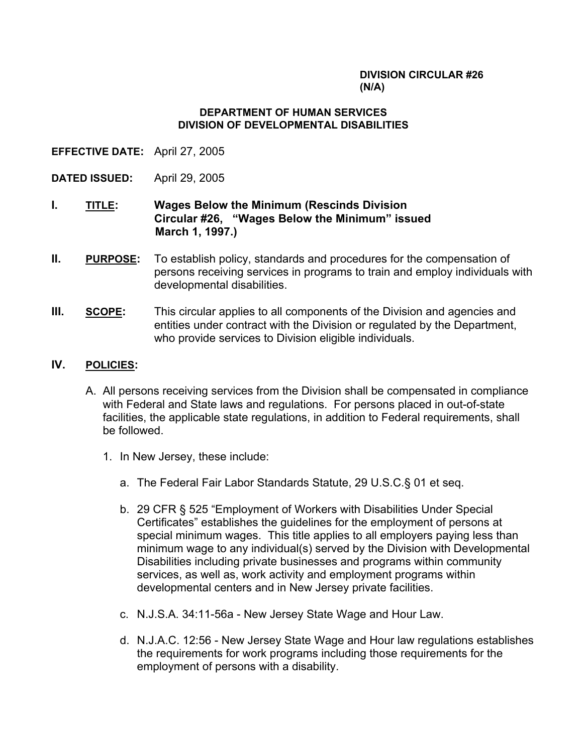## **DIVISION CIRCULAR #26 (N/A)**

## **DEPARTMENT OF HUMAN SERVICES DIVISION OF DEVELOPMENTAL DISABILITIES**

- **EFFECTIVE DATE:** April 27, 2005
- **DATED ISSUED:** April 29, 2005
- **I. TITLE: Wages Below the Minimum (Rescinds Division Circular #26, "Wages Below the Minimum" issued March 1, 1997.)**
- **II. PURPOSE:** To establish policy, standards and procedures for the compensation of persons receiving services in programs to train and employ individuals with developmental disabilities.
- **III. SCOPE:** This circular applies to all components of the Division and agencies and entities under contract with the Division or regulated by the Department, who provide services to Division eligible individuals.
- **IV. POLICIES:**
	- A. All persons receiving services from the Division shall be compensated in compliance with Federal and State laws and regulations. For persons placed in out-of-state facilities, the applicable state regulations, in addition to Federal requirements, shall be followed.
		- 1. In New Jersey, these include:
			- a. The Federal Fair Labor Standards Statute, 29 U.S.C.§ 01 et seq.
			- b. 29 CFR § 525 "Employment of Workers with Disabilities Under Special Certificates" establishes the guidelines for the employment of persons at special minimum wages. This title applies to all employers paying less than minimum wage to any individual(s) served by the Division with Developmental Disabilities including private businesses and programs within community services, as well as, work activity and employment programs within developmental centers and in New Jersey private facilities.
			- c. N.J.S.A. 34:11-56a New Jersey State Wage and Hour Law.
			- d. N.J.A.C. 12:56 New Jersey State Wage and Hour law regulations establishes the requirements for work programs including those requirements for the employment of persons with a disability.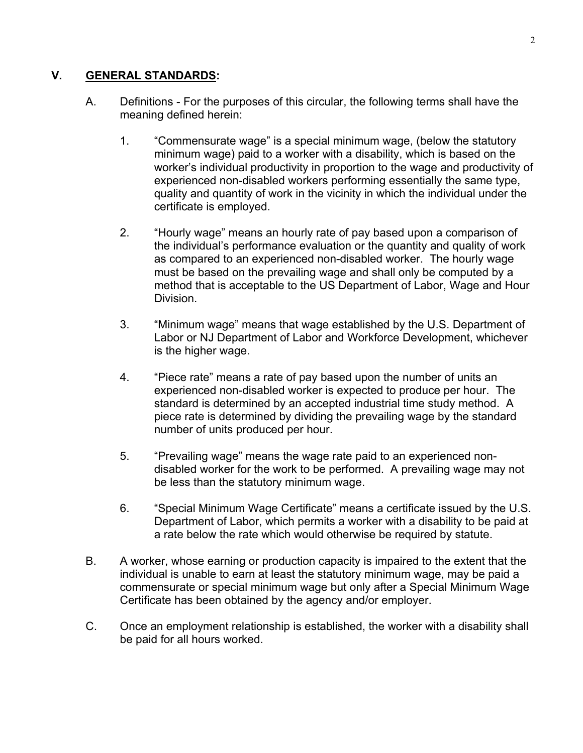## **V. GENERAL STANDARDS:**

- A. Definitions For the purposes of this circular, the following terms shall have the meaning defined herein:
	- 1. "Commensurate wage" is a special minimum wage, (below the statutory minimum wage) paid to a worker with a disability, which is based on the worker's individual productivity in proportion to the wage and productivity of experienced non-disabled workers performing essentially the same type, quality and quantity of work in the vicinity in which the individual under the certificate is employed.
	- 2. "Hourly wage" means an hourly rate of pay based upon a comparison of the individual's performance evaluation or the quantity and quality of work as compared to an experienced non-disabled worker. The hourly wage must be based on the prevailing wage and shall only be computed by a method that is acceptable to the US Department of Labor, Wage and Hour Division.
	- 3. "Minimum wage" means that wage established by the U.S. Department of Labor or NJ Department of Labor and Workforce Development, whichever is the higher wage.
	- 4. "Piece rate" means a rate of pay based upon the number of units an experienced non-disabled worker is expected to produce per hour. The standard is determined by an accepted industrial time study method. A piece rate is determined by dividing the prevailing wage by the standard number of units produced per hour.
	- 5. "Prevailing wage" means the wage rate paid to an experienced nondisabled worker for the work to be performed. A prevailing wage may not be less than the statutory minimum wage.
	- 6. "Special Minimum Wage Certificate" means a certificate issued by the U.S. Department of Labor, which permits a worker with a disability to be paid at a rate below the rate which would otherwise be required by statute.
- B. A worker, whose earning or production capacity is impaired to the extent that the individual is unable to earn at least the statutory minimum wage, may be paid a commensurate or special minimum wage but only after a Special Minimum Wage Certificate has been obtained by the agency and/or employer.
- C. Once an employment relationship is established, the worker with a disability shall be paid for all hours worked.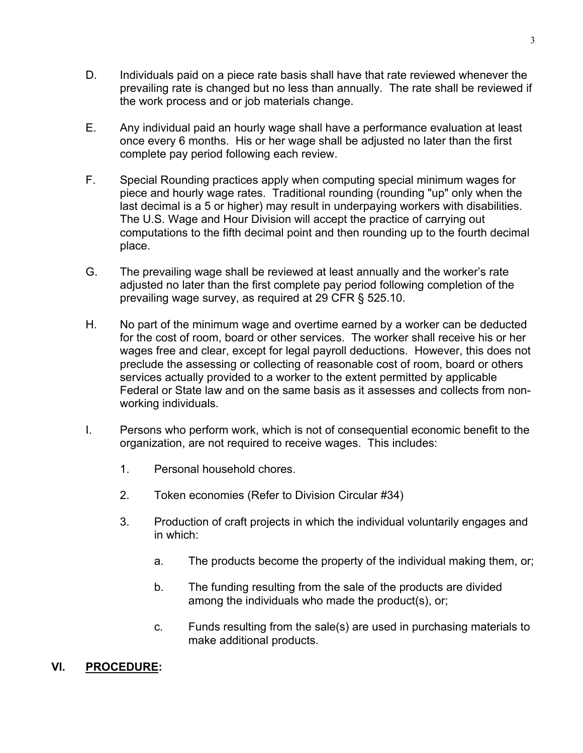- D. Individuals paid on a piece rate basis shall have that rate reviewed whenever the prevailing rate is changed but no less than annually. The rate shall be reviewed if the work process and or job materials change.
- E. Any individual paid an hourly wage shall have a performance evaluation at least once every 6 months. His or her wage shall be adjusted no later than the first complete pay period following each review.
- F. Special Rounding practices apply when computing special minimum wages for piece and hourly wage rates. Traditional rounding (rounding "up" only when the last decimal is a 5 or higher) may result in underpaying workers with disabilities. The U.S. Wage and Hour Division will accept the practice of carrying out computations to the fifth decimal point and then rounding up to the fourth decimal place.
- G. The prevailing wage shall be reviewed at least annually and the worker's rate adjusted no later than the first complete pay period following completion of the prevailing wage survey, as required at 29 CFR § 525.10.
- H. No part of the minimum wage and overtime earned by a worker can be deducted for the cost of room, board or other services. The worker shall receive his or her wages free and clear, except for legal payroll deductions. However, this does not preclude the assessing or collecting of reasonable cost of room, board or others services actually provided to a worker to the extent permitted by applicable Federal or State law and on the same basis as it assesses and collects from nonworking individuals.
- I. Persons who perform work, which is not of consequential economic benefit to the organization, are not required to receive wages. This includes:
	- 1. Personal household chores.
	- 2. Token economies (Refer to Division Circular #34)
	- 3. Production of craft projects in which the individual voluntarily engages and in which:
		- a. The products become the property of the individual making them, or;
		- b. The funding resulting from the sale of the products are divided among the individuals who made the product(s), or;
		- c. Funds resulting from the sale(s) are used in purchasing materials to make additional products.

## **VI. PROCEDURE:**